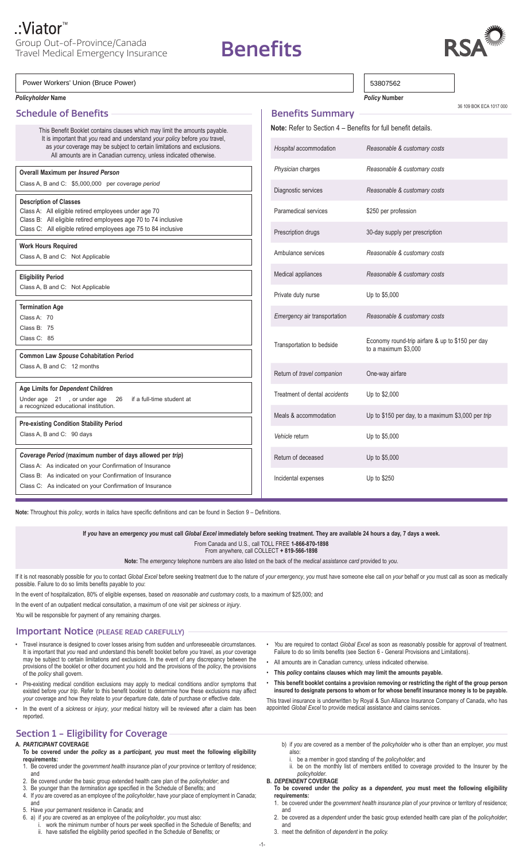**Benefits** 

 $\Box$ 



| Power Workers' Union (Bruce Power)                                                                                                                                                                                                                                                                       |                                                                                                       | 53807562                                           |                         |
|----------------------------------------------------------------------------------------------------------------------------------------------------------------------------------------------------------------------------------------------------------------------------------------------------------|-------------------------------------------------------------------------------------------------------|----------------------------------------------------|-------------------------|
| <b>Policyholder Name</b>                                                                                                                                                                                                                                                                                 |                                                                                                       | <b>Policy Number</b>                               | 36 109 BOK ECA 1017 000 |
| <b>Schedule of Benefits</b>                                                                                                                                                                                                                                                                              | <b>Benefits Summary</b>                                                                               |                                                    |                         |
| This Benefit Booklet contains clauses which may limit the amounts payable.<br>It is important that you read and understand your policy before you travel,<br>as your coverage may be subject to certain limitations and exclusions.<br>All amounts are in Canadian currency, unless indicated otherwise. | Note: Refer to Section 4 - Benefits for full benefit details.                                         |                                                    |                         |
|                                                                                                                                                                                                                                                                                                          | Hospital accommodation                                                                                | Reasonable & customary costs                       |                         |
| Overall Maximum per Insured Person<br>Class A, B and C: \$5,000,000 per coverage period                                                                                                                                                                                                                  | Physician charges                                                                                     | Reasonable & customary costs                       |                         |
|                                                                                                                                                                                                                                                                                                          | Diagnostic services<br>Reasonable & customary costs                                                   |                                                    |                         |
| <b>Description of Classes</b><br>Class A: All eligible retired employees under age 70<br>Class B: All eligible retired employees age 70 to 74 inclusive<br>Class C: All eligible retired employees age 75 to 84 inclusive                                                                                | Paramedical services                                                                                  | \$250 per profession                               |                         |
|                                                                                                                                                                                                                                                                                                          | Prescription drugs                                                                                    | 30-day supply per prescription                     |                         |
| <b>Work Hours Required</b><br>Class A, B and C: Not Applicable                                                                                                                                                                                                                                           | Ambulance services                                                                                    | Reasonable & customary costs                       |                         |
| <b>Eligibility Period</b><br>Class A, B and C: Not Applicable                                                                                                                                                                                                                                            | Medical appliances                                                                                    | Reasonable & customary costs                       |                         |
|                                                                                                                                                                                                                                                                                                          | Private duty nurse                                                                                    | Up to \$5,000                                      |                         |
| <b>Termination Age</b><br>Class A: 70                                                                                                                                                                                                                                                                    | Emergency air transportation                                                                          | Reasonable & customary costs                       |                         |
| Class B: 75<br>Class C: 85                                                                                                                                                                                                                                                                               | Economy round-trip airfare & up to \$150 per day<br>Transportation to bedside<br>to a maximum \$3,000 |                                                    |                         |
| <b>Common Law Spouse Cohabitation Period</b><br>Class A, B and C: 12 months                                                                                                                                                                                                                              |                                                                                                       |                                                    |                         |
|                                                                                                                                                                                                                                                                                                          | Return of travel companion<br>One-way airfare                                                         |                                                    |                         |
| Age Limits for Dependent Children<br>Under age 21, or under age 26 if a full-time student at<br>a recognized educational institution.                                                                                                                                                                    | Treatment of dental accidents                                                                         | Up to \$2,000                                      |                         |
|                                                                                                                                                                                                                                                                                                          | Meals & accommodation                                                                                 | Up to \$150 per day, to a maximum \$3,000 per trip |                         |
| <b>Pre-existing Condition Stability Period</b><br>Class A, B and C: 90 days                                                                                                                                                                                                                              | Vehicle return                                                                                        | Up to \$5,000                                      |                         |
| Coverage Period (maximum number of days allowed per trip)<br>Class A: As indicated on your Confirmation of Insurance<br>Class B: As indicated on your Confirmation of Insurance<br>Class C: As indicated on your Confirmation of Insurance                                                               | Return of deceased                                                                                    | Up to \$5,000                                      |                         |
|                                                                                                                                                                                                                                                                                                          | Incidental expenses                                                                                   | Up to \$250                                        |                         |

**Note:** Throughout this *policy*, words in italics have specific definitions and can be found in Section 9 – Definitions.

**If** *you* **have an** *emergency you* **must call** *Global Excel* **immediately before seeking treatment. They are available 24 hours a day, 7 days a week.**

From Canada and U.S., call TOLL FREE **1-866-870-1898**

From anywhere, call COLLECT **+ 819-566-1898**

**Note:** The *emergency* telephone numbers are also listed on the back of the *medical assistance card* provided to *you*.

If it is not reasonably possible for you to contact Global Excel before seeking treatment due to the nature of your emergency, you must have someone else call on your behalf or you must call as soon as medically possible. Failure to do so limits benefits payable to *you*:

In the event of hospitalization, 80% of eligible expenses, based on *reasonable and customary costs*, to a maximum of \$25,000; and

In the event of an outpatient medical consultation, a maximum of one visit per *sickness* or *injury*.

*You* will be responsible for payment of any remaining charges.

# Important Notice (PLEASE READ CAREFULLY)

- Travel insurance is designed to cover losses arising from sudden and unforeseeable circumstances. It is important that *you* read and understand this benefit booklet before *you* travel, as *your* coverage may be subject to certain limitations and exclusions. In the event of any discrepancy between the provisions of the booklet or other document *you* hold and the provisions of the *policy*, the provisions of the *policy* shall govern.
- Pre-existing medical condition exclusions may apply to medical conditions and/or symptoms that existed before *your trip*. Refer to this benefit booklet to determine how these exclusions may affect *your* coverage and how they relate to *your* departure date, date of purchase or effective date.
- • In the event of a *sickness* or *injury*, *your* medical history will be reviewed after a claim has been reported.

# Section 1 - Eligibility for Coverage

# **A.** *PARTICIPANT* **COVERAGE**

- **To be covered under the** *policy* **as a** *participant***,** *you* **must meet the following eligibility requirements:**
- 1. Be covered under the *government health insurance plan* of *your* province or territory of residence; and
- 2. Be covered under the basic group extended health care plan of the *policyholder*; and
- 3. Be younger than the *termination age* specified in the Schedule of Benefits; and 4. If *you* are covered as an employee of the *policyholder*, have *your* place of employment in Canada; and
- 5. Have *your* permanent residence in Canada; and
- 6. a) if *you* are covered as an employee of the *policyholder*, *you* must also:
	- i. work the minimum number of hours per week specified in the Schedule of Benefits; and
	- ii. have satisfied the eligibility period specified in the Schedule of Benefits; or
- You are required to contact *Global Excel* as soon as reasonably possible for approval of treatment. Failure to do so limits benefits (see Section 6 - General Provisions and Limitations).
- All amounts are in Canadian currency, unless indicated otherwise.
- • **This** *policy* **contains clauses which may limit the amounts payable.**
- • **This benefit booklet contains a provision removing or restricting the right of the group person insured to designate persons to whom or for whose benefit insurance money is to be payable.**

This travel insurance is underwritten by Royal & Sun Alliance Insurance Company of Canada, who has appointed *Global Excel* to provide medical assistance and claims services.

- b) if *you* are covered as a member of the *policyholder* who is other than an employer, *you* must also:
	- i. be a member in good standing of the *policyholder*; and ii. be on the monthly list of members entitled to coverage provided to the Insurer by the
- *policyholder*. **B.** *DEPENDENT* **COVERAGE**
	- **To be covered under the** *policy* **as a** *dependent***,** *you* **must meet the following eligibility requirements:**
	- 1. be covered under the *government health insurance plan* of *your* province or territory of residence; and
	- 2. be covered as a *dependent* under the basic group extended health care plan of the *policyholder*; and
	- 3. meet the definition of *dependent* in the *policy.*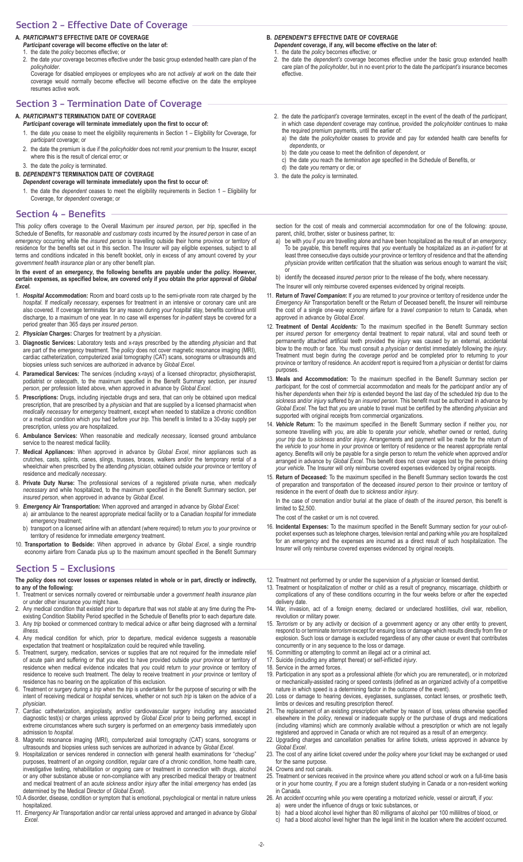## Section 2 ‑ Effective Date of Coverage

- **A.** *PARTICIPANT'S* **EFFECTIVE DATE OF COVERAGE**
- *Participant* **coverage will become effective on the later of:** 1. the date the *policy* becomes effective; or
- 2. the date your coverage becomes effective under the basic group extended health care plan of the *policyholder*.

Coverage for disabled employees or employees who are not *actively at work* on the date their coverage would normally become effective will become effective on the date the employee resumes active work.

# Section 3 ‑ Termination Date of Coverage

**A.** *PARTICIPANT'S* **TERMINATION DATE OF COVERAGE**

### *Participant* **coverage will terminate immediately upon the first to occur of:**

- 1. the date you cease to meet the eligibility requirements in Section 1 Eligibility for Coverage, for *participant* coverage; or
- 2. the date the premium is due if the *policyholder* does not remit *your* premium to the Insurer, except where this is the result of clerical error; or
- 3. the date the *policy* is terminated.
- **B.** *DEPENDENT'S* **TERMINATION DATE OF COVERAGE** *Dependent* **coverage will terminate immediately upon the first to occur of:**
	- 1. the date the *dependent* ceases to meet the eligibility requirements in Section 1 Eligibility for Coverage, for *dependent* coverage; or

### Section 4 ‑ Benefits

This *policy* offers coverage to the Overall Maximum per *insured person*, per *trip*, specified in the Schedule of Benefits, for *reasonable and customary costs* incurred by the *insured person* in case of an *emergency* occurring while the *insured person* is travelling outside their home province or territory of residence for the benefits set out in this section. The Insurer will pay eligible expenses, subject to all terms and conditions indicated in this benefit booklet, only in excess of any amount covered by *your government health insurance plan* or any other benefit plan.

#### **In the event of an** *emergency***, the following benefits are payable under the** *policy***. However, certain expenses, as specified below, are covered only if** *you* **obtain the prior approval of** *Global Excel***.**

- 1. Hospital Accommodation: Room and board costs up to the semi-private room rate charged by the *hospital*. If *medically necessary*, expenses for treatment in an intensive or coronary care unit are also covered. If coverage terminates for any reason during *your hospital* stay, benefits continue until discharge, to a maximum of one year. In no case will expenses for *in-patient* stays be covered for a period greater than 365 days per *insured person*.
- 2. *Physician* **Charges:** Charges for treatment by a *physician*.
- 3. **Diagnostic Services:** Laboratory tests and x-rays prescribed by the attending *physician* and that are part of the *emergency* treatment. The *policy* does not cover magnetic resonance imaging (MRI), cardiac catheterization, computerized axial tomography (CAT) scans, sonograms or ultrasounds and biopsies unless such services are authorized in advance by *Global Excel*.
- 4. **Paramedical Services:** The services (including x-rays) of a licensed chiropractor, physiotherapist, podiatrist or osteopath, to the maximum specified in the Benefit Summary section, per *insured person*, per profession listed above, when approved in advance by *Global Excel*.
- 5. **Prescriptions:** Drugs, including injectable drugs and sera, that can only be obtained upon medical prescription, that are prescribed by a *physician* and that are supplied by a licensed pharmacist when *medically necessary* for *emergency* treatment, except when needed to stabilize a chronic condition or a medical condition which *you* had before *your trip*. This benefit is limited to a 30-day supply per prescription, unless *you* are hospitalized.
- 6. **Ambulance Services:** When reasonable and *medically necessary*, licensed ground ambulance service to the nearest medical facility.
- 7. **Medical Appliances:** When approved in advance by *Global Excel*, minor appliances such as crutches, casts, splints, canes, slings, trusses, braces, walkers and/or the temporary rental of a wheelchair when prescribed by the attending *physician*, obtained outside *your* province or territory of residence and *medically necessary*.
- 8. **Private Duty Nurse:** The professional services of a registered private nurse, when *medically necessary* and while hospitalized, to the maximum specified in the Benefit Summary section, per *insured person*, when approved in advance by *Global Excel*.
- 9. *Emergency* **Air Transportation:** When approved and arranged in advance by *Global Excel:* a) air ambulance to the nearest appropriate medical facility or to a Canadian *hospital* for immediate *emergency* treatment;
- b) transport on a licensed airline with an attendant (where required) to return *you* to *your* province or territory of residence for immediate *emergency* treatment.
- 10. **Transportation to Bedside:** When approved in advance by *Global Excel*, a single roundtrip economy airfare from Canada plus up to the maximum amount specified in the Benefit Summary

### Section 5 ‑ Exclusions

#### **The** *policy* **does not cover losses or expenses related in whole or in part, directly or indirectly, to any of the following:**

- 1. Treatment or services normally covered or reimbursable under a *government health insurance plan*  or under other insurance *you* might have.
- 2. Any medical condition that existed prior to departure that was not *stable* at any time during the Preexisting Condition Stability Period specified in the Schedule of Benefits prior to each departure date.
- 3. Any *trip* booked or commenced contrary to medical advice or after being diagnosed with a *terminal illness*.
- 4. Any medical condition for which, prior to departure, medical evidence suggests a reasonable expectation that treatment or hospitalization could be required while travelling.
- 5. Treatment, surgery, medication, services or supplies that are not required for the immediate relief of acute pain and suffering or that *you* elect to have provided outside *your* province or territory of residence when medical evidence indicates that *you* could return to *your* province or territory of residence to receive such treatment. The delay to receive treatment in *your* province or territory of residence has no bearing on the application of this exclusion.
- 6. Treatment or surgery during a *trip* when the *trip* is undertaken for the purpose of securing or with the intent of receiving medical or *hospital* services, whether or not such *trip* is taken on the advice of a *physician*.
- 7. Cardiac catheterization, angioplasty, and/or cardiovascular surgery including any associated diagnostic test(s) or charges unless approved by *Global Excel* prior to being performed, except in extreme circumstances where such surgery is performed on an *emergency* basis immediately upon admission to *hospital*.
- 8. Magnetic resonance imaging (MRI), computerized axial tomography (CAT) scans, sonograms or ultrasounds and biopsies unless such services are authorized in advance by *Global Excel*.
- 9. Hospitalization or services rendered in connection with general health examinations for "checkup" purposes, treatment of an *ongoing condition*, regular care of a chronic condition, home health care, investigative testing, rehabilitation or ongoing care or treatment in connection with drugs, alcohol or any other substance abuse or non-compliance with any prescribed medical therapy or treatment and medical treatment of an acute *sickness* and/or *injury* after the initial *emergency* has ended (as determined by the Medical Director of *Global Excel*).
- 10. A disorder, disease, condition or symptom that is emotional, psychological or mental in nature unless hospitalized.
- 11. *Emergency* Air Transportation and/or car rental unless approved and arranged in advance by Global *Excel*.

**B.** *DEPENDENT'S* **EFFECTIVE DATE OF COVERAGE**

- *Dependent* **coverage, if any, will become effective on the later of:** 1. the date the *policy* becomes effective; or
- 2. the date the *dependent's* coverage becomes effective under the basic group extended health care plan of the *policyholder*, but in no event prior to the date the *participant's* insurance becomes effective.
- 2. the date the *participant's* coverage terminates, except in the event of the death of the *participant*, in which case *dependent* coverage may continue, provided the *policyholder* continues to make the required premium payments, until the earlier of:
	- a) the date the *policyholder* ceases to provide and pay for extended health care benefits for *dependents*, or
	- b) the date *you* cease to meet the definition of *dependent*, or
	- c) the date you reach the *termination age* specified in the Schedule of Benefits, or
- d) the date *you* remarry or die; or
- 3. the date the *policy* is terminated.

section for the cost of meals and commercial accommodation for one of the following: *spouse*, parent, child, brother, sister or business partner, to:

- be with *you* if *you* are travelling alone and have been hospitalized as the result of an *emergency*. To be payable, this benefit requires that *you* eventually be hospitalized as an *in-patient* for at least three consecutive days outside *your* province or territory of residence and that the attending *physician* provide written certification that the situation was serious enough to warrant the visit; or
- b) identify the deceased *insured person* prior to the release of the body, where necessary
- The Insurer will only reimburse covered expenses evidenced by original receipts.
- 11. **Return of** *Travel Companion***:** If *you* are returned to *your* province or territory of residence under the *Emergency* Air Transportation benefit or the Return of Deceased benefit, the Insurer will reimburse the cost of a single one-way economy airfare for a *travel companion* to return to Canada, when approved in advance by *Global Excel*.
- 12. Treatment of Dental *Accidents:* To the maximum specified in the Benefit Summary section per *insured person* for *emergency* dental treatment to repair natural, vital and sound teeth or permanently attached artificial teeth provided the *injury* was caused by an external, accidental blow to the mouth or face. *You* must consult a *physician* or dentist immediately following the *injury*. Treatment must begin during the *coverage period* and be completed prior to returning to *your*  province or territory of residence. An *accident* report is required from a *physician* or dentist for claims purposes.
- 13. **Meals and Accommodation:** To the maximum specified in the Benefit Summary section per *participant*, for the cost of commercial accommodation and meals for the *participant* and/or any of his/her *dependents* when their *trip* is extended beyond the last day of the scheduled *trip* due to the *sickness* and/or *injury* suffered by an *insured person*. This benefit must be authorized in advance by *Global Excel*. The fact that *you* are unable to travel must be certified by the attending *physician* and supported with original receipts from commercial organizations.
- 14. *Vehicle* **Return:** To the maximum specified in the Benefit Summary section if neither *you*, nor someone travelling with *you*, are able to operate *your vehicle*, whether owned or rented, during *your trip* due to *sickness* and/or *injury*. Arrangements and payment will be made for the return of the *vehicle* to *your* home in *your* province or territory of residence or the nearest appropriate rental agency. Benefits will only be payable for a single person to return the *vehicle* when approved and/or arranged in advance by *Global Excel*. This benefit does not cover wages lost by the person driving *your vehicle*. The Insurer will only reimburse covered expenses evidenced by original receipts.
- 15. **Return of Deceased:** To the maximum specified in the Benefit Summary section towards the cost of preparation and transportation of the deceased *insured person* to their province or territory of residence in the event of death due to *sickness* and/or *injury*.

In the case of cremation and/or burial at the place of death of the *insured person*, this benefit is limited to \$2,500.

The cost of the casket or urn is not covered.

- 16. **Incidental Expenses:** To the maximum specified in the Benefit Summary section for *your* out-ofpocket expenses such as telephone charges, television rental and parking while *you* are hospitalized for an *emergency* and the expenses are incurred as a direct result of such hospitalization. The Insurer will only reimburse covered expenses evidenced by original receipts.
- 12. Treatment not performed by or under the supervision of a *physician* or licensed dentist.
- 13. Treatment or hospitalization of mother or child as a result of pregnancy, miscarriage, childbirth or complications of any of these conditions occurring in the four weeks before or after the expected delivery date.
- 14. War, invasion, act of a foreign enemy, declared or undeclared hostilities, civil war, rebellion, revolution or military power.
- 15. *Terrorism* or by any activity or decision of a government agency or any other entity to prevent, respond to or terminate *terrorism* except for ensuing loss or damage which results directly from fire or explosion. Such loss or damage is excluded regardless of any other cause or event that contributes concurrently or in any sequence to the loss or damage.
- 16. Committing or attempting to commit an illegal act or a criminal act.
- 17. Suicide (including any attempt thereat) or self-inflicted *injury*.
- 18. Service in the armed forces.
- 19. Participation in any sport as a professional athlete (for which *you* are remunerated), or in motorized or mechanically-assisted racing or speed contests (defined as an organized activity of a competitive nature in which speed is a determining factor in the outcome of the event).
- 20. Loss or damage to hearing devices, eyeglasses, sunglasses, contact lenses, or prosthetic teeth, limbs or devices and resulting prescription thereof.
- 21. The replacement of an existing prescription whether by reason of loss, unless otherwise specified elsewhere in the *policy*, renewal or inadequate supply or the purchase of drugs and medications (including vitamins) which are commonly available without a prescription or which are not legally registered and approved in Canada or which are not required as a result of an *emergency*.
- 22. Upgrading charges and cancellation penalties for airline tickets, unless approved in advance by *Global Excel*.
- 23. The cost of any airline ticket covered under the *policy* where your ticket may be exchanged or used for the same purpose.
- 24. Crowns and root canals.
- 25. Treatment or services received in the province where you attend school or work on a full-time basis or in *your* home country, if *you* are a foreign student studying in Canada or a non-resident working in Canada.
- 26. An *accident* occurring while *you* were operating a motorized *vehicle*, vessel or aircraft, if *you*:
	- a) were under the influence of drugs or toxic substances, or
	- b) had a blood alcohol level higher than 80 milligrams of alcohol per 100 millilitres of blood, or
	- c) had a blood alcohol level higher than the legal limit in the location where the *accident* occurred.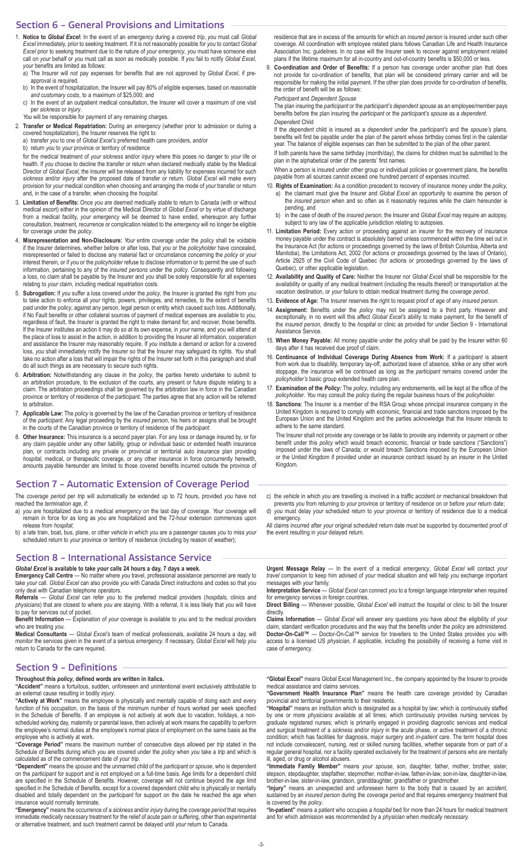### Section 6 ‑ General Provisions and Limitations

- 1. **Notice to** *Global Excel***:** In the event of an *emergency* during a covered *trip*, *you* must call *Global Excel* immediately, prior to seeking treatment. If it is not reasonably possible for *you* to contact *Global Excel* prior to seeking treatment due to the nature of *your emergency*, *you* must have someone else call on *your* behalf or *you* must call as soon as medically possible. If *you* fail to notify *Global Excel*, *your* benefits are limited as follows:
	- a) The Insurer will not pay expenses for benefits that are not approved by *Global Excel*, if preapproval is required.
	- b) In the event of hospitalization, the Insurer will pay 80% of eligible expenses, based on *reasonable and customary costs*, to a maximum of \$25,000; and
	- c) In the event of an outpatient medical consultation, the Insurer will cover a maximum of one visit per *sickness* or *injury*.
- *You* will be responsible for payment of any remaining charges.
- 2. Transfer or Medical Repatriation: During an emergency (whether prior to admission or during a covered hospitalization), the Insurer reserves the right to:
	- a) transfer *you* to one of *Global Excel's* preferred health care providers, and/or
	- b) return *you* to *your* province or territory of residence

for the medical treatment of *your sickness* and/or *injury* where this poses no danger to *your* life or health. If *you* choose to decline the transfer or return when declared medically *stable* by the Medical Director of *Global Excel*, the Insurer will be released from any liability for expenses incurred for such *sickness* and/or *injury* after the proposed date of transfer or return. *Global Excel* will make every provision for *your* medical condition when choosing and arranging the mode of *your* transfer or return and, in the case of a transfer, when choosing the *hospital*.

- 3. **Limitation of Benefits:** Once *you* are deemed medically *stable* to return to Canada (with or without medical escort) either in the opinion of the Medical Director of *Global Excel* or by virtue of discharge from a medical facility, *your emergency* will be deemed to have ended, whereupon any further consultation, treatment, recurrence or complication related to the *emergency* will no longer be eligible for coverage under the *policy*.
- 4. **Misrepresentation and Non-Disclosure:** *Your* entire coverage under the *policy* shall be voidable if the Insurer determines, whether before or after loss, that *you* or the *policyholder* have concealed, misrepresented or failed to disclose any material fact or circumstance concerning the *policy* or *your*  interest therein, or if *you* or the *policyholder* refuse to disclose information or to permit the use of such information, pertaining to any of the *insured persons* under the *policy*. Consequently and following a loss, no claim shall be payable by the Insurer and *you* shall be solely responsible for all expenses relating to *your* claim, including medical repatriation costs.
- 5. **Subrogation:** If *you* suffer a loss covered under the *policy*, the Insurer is granted the right from *you*  to take action to enforce all *your* rights, powers, privileges, and remedies, to the extent of benefits paid under the *policy*, against any person, legal person or entity which caused such loss. Additionally, if No Fault benefits or other collateral sources of payment of medical expenses are available to *you*, regardless of fault, the Insurer is granted the right to make demand for, and recover, those benefits. If the Insurer institutes an action it may do so at its own expense, in *your* name, and *you* will attend at the place of loss to assist in the action, in addition to providing the Insurer all information, cooperation and assistance the Insurer may reasonably require. If *you* institute a demand or action for a covered loss, *you* shall immediately notify the Insurer so that the Insurer may safeguard its rights. *You* shall take no action after a loss that will impair the rights of the Insurer set forth in this paragraph and shall do all such things as are necessary to secure such rights.
- 6. **Arbitration:** Notwithstanding any clause in the *policy*, the parties hereto undertake to submit to an arbitration procedure, to the exclusion of the courts, any present or future dispute relating to a claim. The arbitration proceedings shall be governed by the arbitration law in force in the Canadian province or territory of residence of the *participant*. The parties agree that any action will be referred to arbitration.
- 7. **Applicable Law:** The *policy* is governed by the law of the Canadian province or territory of residence of the *participant*. Any legal proceeding by the *insured person*, his heirs or assigns shall be brought in the courts of the Canadian province or territory of residence of the *participant*.
- 8. **Other Insurance:** This insurance is a second payer plan. For any loss or damage insured by, or for any claim payable under any other liability, group or individual basic or extended health insurance plan, or contracts including any private or provincial or territorial auto insurance plan providing *hospital*, medical, or therapeutic coverage, or any other insurance in force concurrently herewith, amounts payable hereunder are limited to those covered benefits incurred outside the province of

#### Section 7 ‑ Automatic Extension of Coverage Period

The *coverage period* per *trip* will automatically be extended up to 72 hours, provided *you* have not reached the *termination age*, if:

- a) *you* are hospitalized due to a medical *emergency* on the last day of coverage. *Your* coverage will remain in force for as long as *you* are hospitalized and the 72-hour extension commences upon release from *hospital*;
- b) a late train, boat, bus, plane, or other *vehicle* in which *you* are a passenger causes *you* to miss *your* scheduled return to *your* province or territory of residence (including by reason of weather);

# Section 8 ‑ International Assistance Service

*Global Excel* **is available to take** *your* **calls 24 hours a day, 7 days a week. Emergency Call Centre** — No matter where *you* travel, professional assistance personnel are ready to take *your* call. *Global Excel* can also provide *you* with Canada Direct instructions and codes so that *you* only deal with Canadian telephone operators.

**Referrals** — *Global Excel* can refer *you* to the preferred medical providers (*hospitals*, clinics and *physicians*) that are closest to where *you* are staying. With a referral, it is less likely that *you* will have to pay for services out of pocket.

**Benefit Information** — Explanation of *your* coverage is available to *you* and to the medical providers who are treating *you*.

**Medical Consultants** — *Global Excel's* team of medical professionals, available 24 hours a day, will monitor the services given in the event of a serious *emergency*. If necessary, *Global Excel* will help *you* return to Canada for the care required.

# Section 9 ‑ Definitions

**Throughout this** *policy***, defined words are written in italics.**

**"Accident"** means a fortuitous, sudden, unforeseen and unintentional event exclusively attributable to an external cause resulting in bodily *injury*.

**"Actively at Work"** means the employee is physically and mentally capable of doing each and every function of his occupation, on the basis of the minimum number of hours worked per week specified in the Schedule of Benefits. If an employee is not actively at work due to vacation, holidays, a nonscheduled working day, maternity or parental leave, then actively at work means the capability to perform the employee's normal duties at the employee's normal place of employment on the same basis as the employee who is actively at work.

**"Coverage Period"** means the maximum number of consecutive days allowed per *trip* stated in the Schedule of Benefits during which *you* are covered under the *policy* when *you* take a *trip* and which is calculated as of the commencement date of *your trip*.

**"Dependent"** means the *spouse* and the unmarried child of the *participant* or *spouse*, who is dependent on the *participant* for support and is not employed on a full-time basis. Age limits for a dependent child are specified in the Schedule of Benefits. However, coverage will not continue beyond the age limit specified in the Schedule of Benefits, except for a covered dependent child who is physically or mentally disabled and totally dependent on the *participant* for support on the date he reached the age when insurance would normally terminate.

**"Emergency"** means the occurrence of a *sickness* and/or *injury* during the *coverage period* that requires immediate *medically necessary* treatment for the relief of acute pain or suffering, other than experimental or alternative treatment, and such treatment cannot be delayed until *your* return to Canada.

residence that are in excess of the amounts for which an *insured person* is insured under such other coverage. All coordination with employee related plans follows Canadian Life and Health Insurance Association Inc. guidelines. In no case will the Insurer seek to recover against employment related plans if the lifetime maximum for all in-country and out-of-country benefits is \$50,000 or less.

9. **Co-ordination and Order of Benefits:** If a person has coverage under another plan that does not provide for co-ordination of benefits, that plan will be considered primary carrier and will be responsible for making the initial payment. If the other plan does provide for co-ordination of benefits, the order of benefit will be as follows:

*Participant* and *Dependent Spouse*

The plan insuring the *participant* or the *participant's dependent spouse* as an employee/member pays benefits before the plan insuring the *participant* or the *participant's spouse* as a *dependent*. *Dependent* Child

If the *dependent* child is insured as a *dependent* under the *participant's* and the *spouse's* plans, benefits will first be payable under the plan of the parent whose birthday comes first in the calendar year. The balance of eligible expenses can then be submitted to the plan of the other parent.

If both parents have the same birthday (month/day), the claims for children must be submitted to the plan in the alphabetical order of the parents' first names.

When a person is insured under other group or individual policies or government plans, the benefits payable from all sources cannot exceed one hundred percent of expenses incurred.

- 10. **Rights of Examination:** As a condition precedent to recovery of insurance money under the *policy*, a) the claimant must give the Insurer and *Global Excel* an opportunity to examine the person of the *insured person* when and so often as it reasonably requires while the claim hereunder is pending, and
	- b) in the case of death of the *insured person*, the Insurer and *Global Excel* may require an autopsy, subject to any law of the applicable jurisdiction relating to autopsies.
- 11. Limitation Period: Every action or proceeding against an insurer for the recovery of insurance money payable under the contract is absolutely barred unless commenced within the time set out in the Insurance Act (for actions or proceedings governed by the laws of British Columbia, Alberta and Manitoba), the Limitations Act, 2002 (for actions or proceedings governed by the laws of Ontario), Article 2925 of the Civil Code of Quebec (for actions or proceedings governed by the laws of Quebec), or other applicable legislation.
- 12. **Availability and Quality of Care:** Neither the Insurer nor *Global Excel* shall be responsible for the availability or quality of any medical treatment (including the results thereof) or transportation at the vacation destination, or *your* failure to obtain medical treatment during the *coverage period*.
- 13. Evidence of Age: The Insurer reserves the right to request proof of age of any *insured person*.
- 14. Assignment: Benefits under the *policy* may not be assigned to a third party. However and exceptionally, in no event will this affect *Global Excel's* ability to make payment, for the benefit of the *insured person*, directly to the *hospital* or clinic as provided for under Section 9 - International Assistance Service.
- 15. **When Money Payable:** All money payable under the *policy* shall be paid by the Insurer within 60 days after it has received due proof of claim.
- 16. **Continuance of Individual Coverage During Absence from Work:** If a *participant* is absent from work due to disability, temporary lay-off, authorized leave of absence, strike or any other work stoppage, the insurance will be continued as long as the *participant* remains covered under the *policyholder's* basic group extended health care plan.
- 17. **Examination of the** *Policy:* The *policy*, including any endorsements, will be kept at the office of the *policyholder*. *You* may consult the *policy* during the regular business hours of the *policyholder*.
- 18. **Sanctions**: The Insurer is a member of the RSA Group whose principal insurance company in the United Kingdom is required to comply with economic, financial and trade sanctions imposed by the European Union and the United Kingdom and the parties acknowledge that the Insurer intends to adhere to the same standard.

The Insurer shall not provide any coverage or be liable to provide any indemnity or payment or other benefit under this *policy* which would breach economic, financial or trade sanctions ("Sanctions") imposed under the laws of Canada; or would breach Sanctions imposed by the European Union or the United Kingdom if provided under an insurance contract issued by an insurer in the United Kingdom.

c) the *vehicle* in which *you* are travelling is involved in a traffic accident or mechanical breakdown that prevents *you* from returning to *your* province or territory of residence on or before *your* return date; d) *you* must delay *your* scheduled return to *your* province or territory of residence due to a medical

emergency. All claims incurred after *your* original scheduled return date must be supported by documented proof of the event resulting in *your* delayed return.

**Urgent Message Relay** — In the event of a medical *emergency*, *Global Excel* will contact *your travel companion* to keep him advised of *your* medical situation and will help *you* exchange important messages with *your* family.

**Interpretation Service** — *Global Excel* can connect *you* to a foreign language interpreter when required for *emergency* services in foreign countries.

**Direct Billing** — Whenever possible, *Global Excel* will instruct the *hospital* or clinic to bill the Insurer directly.

**Claims Information** — *Global Excel* will answer any questions *you* have about the eligibility of *your* claim, standard verification procedures and the way that the benefits under the *policy* are administered. **Doctor-On-Call™** — Doctor-On-Call™ service for travellers to the United States provides *you* with access to a licensed US *physician*, if applicable, including the possibility of receiving a home visit in case of *emergency*.

**"Global Excel"** means Global Excel Management Inc., the company appointed by the Insurer to provide medical assistance and claims services.

**"Government Health Insurance Plan"** means the health care coverage provided by Canadian provincial and territorial governments to their residents.

**"Hospital"** means an institution which is designated as a hospital by law; which is continuously staffed by one or more *physicians* available at all times; which continuously provides nursing services by graduate registered nurses; which is primarily engaged in providing diagnostic services and medical and surgical treatment of a *sickness* and/or *injury* in the acute phase, or active treatment of a chronic condition; which has facilities for diagnosis, major surgery and *in-patient* care. The term hospital does not include convalescent, nursing, rest or skilled nursing facilities, whether separate from or part of a regular general hospital, nor a facility operated exclusively for the treatment of persons who are mentally ill, aged, or drug or alcohol abusers.

**"Immediate Family Member"** means *your spouse*, son, daughter, father, mother, brother, sister, stepson, stepdaughter, stepfather, stepmother, mother-in-law, father-in-law, son-in-law, daughter-in-law, brother-in-law, sister-in-law, grandson, granddaughter, grandfather or grandmother.

**"Injury"** means an unexpected and unforeseen harm to the body that is caused by an *accident*, sustained by an *insured person* during the *coverage period* and that requires *emergency* treatment that is covered by the *policy*.

**"In-patient"** means a patient who occupies a *hospital* bed for more than 24 hours for medical treatment and for which admission was recommended by a *physician* when *medically necessary.*